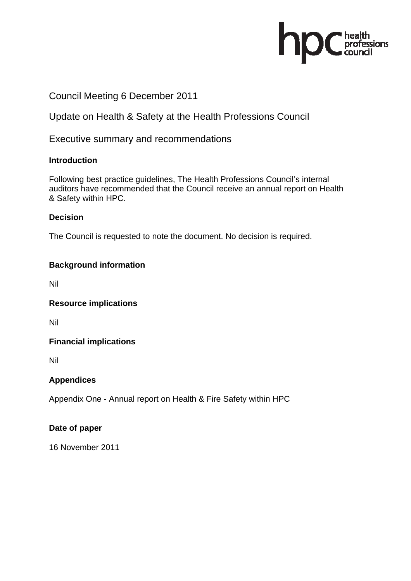# ofessions

## Council Meeting 6 December 2011

Update on Health & Safety at the Health Professions Council

Executive summary and recommendations

### **Introduction**

Following best practice guidelines, The Health Professions Council's internal auditors have recommended that the Council receive an annual report on Health & Safety within HPC.

## **Decision**

The Council is requested to note the document. No decision is required.

## **Background information**

Nil

**Resource implications** 

Nil

### **Financial implications**

Nil

## **Appendices**

Appendix One - Annual report on Health & Fire Safety within HPC

### **Date of paper**

16 November 2011